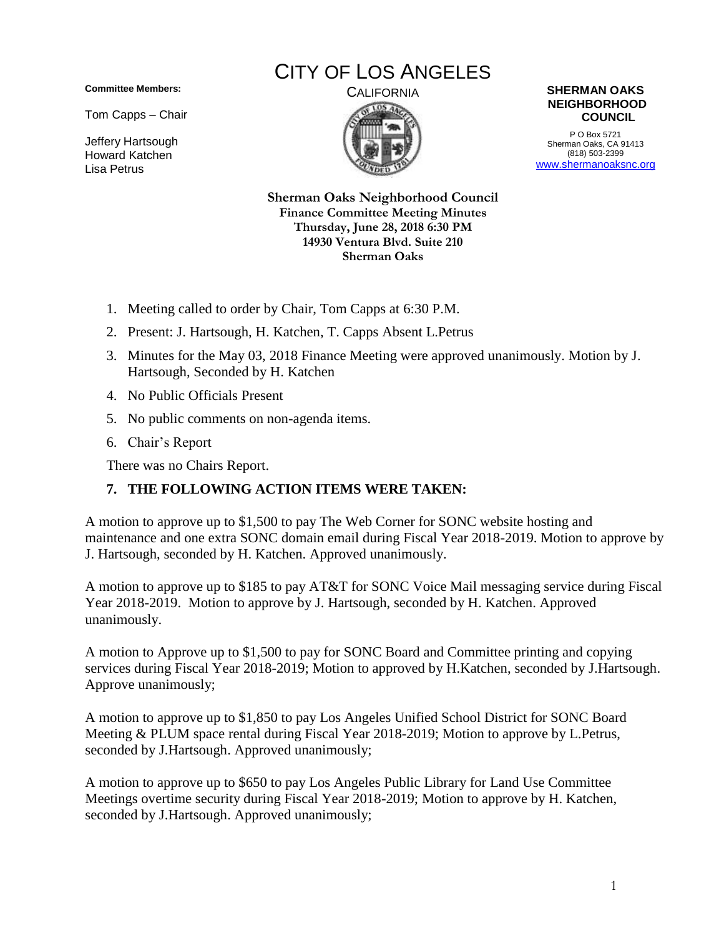**Committee Members:**

Tom Capps – Chair

Jeffery Hartsough Howard Katchen Lisa Petrus

## CITY OF LOS ANGELES





P O Box 5721 Sherman Oaks, CA 91413 (818) 503-2399 [www.shermanoaksnc.org](http://www.shermanoaksnc.org/)

**Sherman Oaks Neighborhood Council Finance Committee Meeting Minutes Thursday, June 28, 2018 6:30 PM 14930 Ventura Blvd. Suite 210 Sherman Oaks**

- 1. Meeting called to order by Chair, Tom Capps at 6:30 P.M.
- 2. Present: J. Hartsough, H. Katchen, T. Capps Absent L.Petrus
- 3. Minutes for the May 03, 2018 Finance Meeting were approved unanimously. Motion by J. Hartsough, Seconded by H. Katchen
- 4. No Public Officials Present
- 5. No public comments on non-agenda items.
- 6. Chair's Report

There was no Chairs Report.

## **7. THE FOLLOWING ACTION ITEMS WERE TAKEN:**

A motion to approve up to \$1,500 to pay The Web Corner for SONC website hosting and maintenance and one extra SONC domain email during Fiscal Year 2018-2019. Motion to approve by J. Hartsough, seconded by H. Katchen. Approved unanimously.

A motion to approve up to \$185 to pay AT&T for SONC Voice Mail messaging service during Fiscal Year 2018-2019. Motion to approve by J. Hartsough, seconded by H. Katchen. Approved unanimously.

A motion to Approve up to \$1,500 to pay for SONC Board and Committee printing and copying services during Fiscal Year 2018-2019; Motion to approved by H.Katchen, seconded by J.Hartsough. Approve unanimously;

A motion to approve up to \$1,850 to pay Los Angeles Unified School District for SONC Board Meeting & PLUM space rental during Fiscal Year 2018-2019; Motion to approve by L.Petrus, seconded by J.Hartsough. Approved unanimously;

A motion to approve up to \$650 to pay Los Angeles Public Library for Land Use Committee Meetings overtime security during Fiscal Year 2018-2019; Motion to approve by H. Katchen, seconded by J.Hartsough. Approved unanimously;